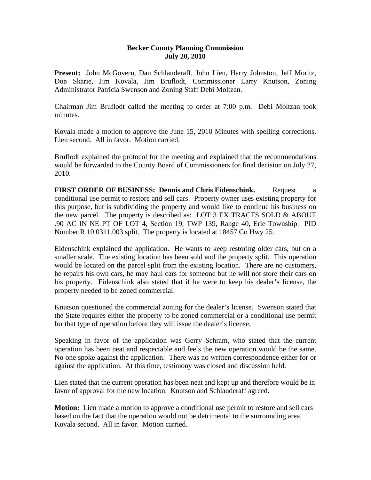## **Becker County Planning Commission July 20, 2010**

**Present:** John McGovern, Dan Schlauderaff, John Lien, Harry Johnston, Jeff Moritz, Don Skarie, Jim Kovala, Jim Bruflodt, Commissioner Larry Knutson, Zoning Administrator Patricia Swenson and Zoning Staff Debi Moltzan.

Chairman Jim Bruflodt called the meeting to order at 7:00 p.m. Debi Moltzan took minutes.

Kovala made a motion to approve the June 15, 2010 Minutes with spelling corrections. Lien second. All in favor. Motion carried.

Bruflodt explained the protocol for the meeting and explained that the recommendations would be forwarded to the County Board of Commissioners for final decision on July 27, 2010.

**FIRST ORDER OF BUSINESS: Dennis and Chris Eidenschink.** Request a conditional use permit to restore and sell cars. Property owner uses existing property for this purpose, but is subdividing the property and would like to continue his business on the new parcel. The property is described as: LOT 3 EX TRACTS SOLD & ABOUT .90 AC IN NE PT OF LOT 4, Section 19, TWP 139, Range 40, Erie Township. PID Number R 10.0311.003 split. The property is located at 18457 Co Hwy 25.

Eidenschink explained the application. He wants to keep restoring older cars, but on a smaller scale. The existing location has been sold and the property split. This operation would be located on the parcel split from the existing location. There are no customers, he repairs his own cars, he may haul cars for someone but he will not store their cars on his property. Eidenschink also stated that if he were to keep his dealer's license, the property needed to be zoned commercial.

Knutson questioned the commercial zoning for the dealer's license. Swenson stated that the State requires either the property to be zoned commercial or a conditional use permit for that type of operation before they will issue the dealer's license.

Speaking in favor of the application was Gerry Schram, who stated that the current operation has been neat and respectable and feels the new operation would be the same. No one spoke against the application. There was no written correspondence either for or against the application. At this time, testimony was closed and discussion held.

Lien stated that the current operation has been neat and kept up and therefore would be in favor of approval for the new location. Knutson and Schlauderaff agreed.

**Motion:** Lien made a motion to approve a conditional use permit to restore and sell cars based on the fact that the operation would not be detrimental to the surrounding area. Kovala second. All in favor. Motion carried.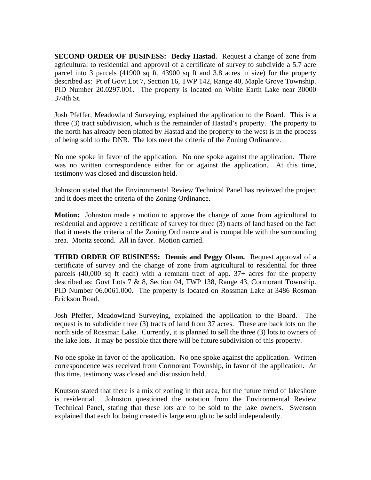**SECOND ORDER OF BUSINESS: Becky Hastad.** Request a change of zone from agricultural to residential and approval of a certificate of survey to subdivide a 5.7 acre parcel into 3 parcels (41900 sq ft, 43900 sq ft and 3.8 acres in size) for the property described as: Pt of Govt Lot 7, Section 16, TWP 142, Range 40, Maple Grove Township. PID Number 20.0297.001. The property is located on White Earth Lake near 30000 374th St.

Josh Pfeffer, Meadowland Surveying, explained the application to the Board. This is a three (3) tract subdivision, which is the remainder of Hastad's property. The property to the north has already been platted by Hastad and the property to the west is in the process of being sold to the DNR. The lots meet the criteria of the Zoning Ordinance.

No one spoke in favor of the application. No one spoke against the application. There was no written correspondence either for or against the application. At this time, testimony was closed and discussion held.

Johnston stated that the Environmental Review Technical Panel has reviewed the project and it does meet the criteria of the Zoning Ordinance.

**Motion:** Johnston made a motion to approve the change of zone from agricultural to residential and approve a certificate of survey for three (3) tracts of land based on the fact that it meets the criteria of the Zoning Ordinance and is compatible with the surrounding area. Moritz second. All in favor. Motion carried.

**THIRD ORDER OF BUSINESS: Dennis and Peggy Olson.** Request approval of a certificate of survey and the change of zone from agricultural to residential for three parcels (40,000 sq ft each) with a remnant tract of app. 37+ acres for the property described as: Govt Lots 7 & 8, Section 04, TWP 138, Range 43, Cormorant Township. PID Number 06.0061.000. The property is located on Rossman Lake at 3486 Rosman Erickson Road.

Josh Pfeffer, Meadowland Surveying, explained the application to the Board. The request is to subdivide three (3) tracts of land from 37 acres. These are back lots on the north side of Rossman Lake. Currently, it is planned to sell the three (3) lots to owners of the lake lots. It may be possible that there will be future subdivision of this property.

No one spoke in favor of the application. No one spoke against the application. Written correspondence was received from Cormorant Township, in favor of the application. At this time, testimony was closed and discussion held.

Knutson stated that there is a mix of zoning in that area, but the future trend of lakeshore is residential. Johnston questioned the notation from the Environmental Review Technical Panel, stating that these lots are to be sold to the lake owners. Swenson explained that each lot being created is large enough to be sold independently.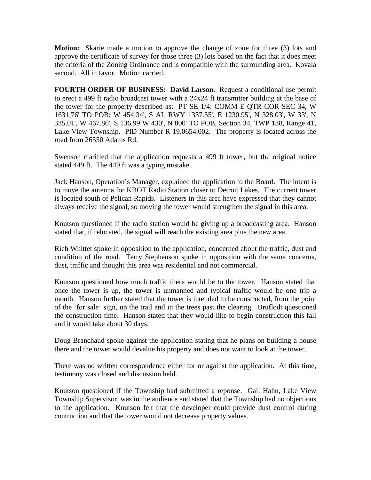**Motion:** Skarie made a motion to approve the change of zone for three (3) lots and approve the certificate of survey for those three (3) lots based on the fact that it does meet the criteria of the Zoning Ordinance and is compatible with the surrounding area. Kovala second. All in favor. Motion carried.

**FOURTH ORDER OF BUSINESS: David Larson.** Request a conditional use permit to erect a 499 ft radio broadcast tower with a 24x24 ft transmitter building at the base of the tower for the property described as: PT SE 1/4: COMM E QTR COR SEC 34, W 1631.76' TO POB; W 454.34', S AL RWY 1337.55', E 1230.95', N 328.03', W 33', N 335.01', W 467.86', S 136.99 W 430', N 800' TO POB, Section 34, TWP 138, Range 41, Lake View Township. PID Number R 19.0654.002. The property is located across the road from 26550 Adams Rd.

Swenson clarified that the application requests a 499 ft tower, but the original notice stated 449 ft. The 449 ft was a typing mistake.

Jack Hanson, Operation's Manager, explained the application to the Board. The intent is to move the antenna for KBOT Radio Station closer to Detroit Lakes. The current tower is located south of Pelican Rapids. Listeners in this area have expressed that they cannot always receive the signal, so moving the tower would strengthen the signal in this area.

Knutson questioned if the radio station would be giving up a broadcasting area. Hanson stated that, if relocated, the signal will reach the existing area plus the new area.

Rich Whittet spoke in opposition to the application, concerned about the traffic, dust and condition of the road. Terry Stephenson spoke in opposition with the same concerns, dust, traffic and thought this area was residential and not commercial.

Knutson questioned how much traffic there would be to the tower. Hanson stated that once the tower is up, the tower is unmanned and typical traffic would be one trip a month. Hanson further stated that the tower is intended to be constructed, from the point of the 'for sale' sign, up the trail and in the trees past the clearing. Bruflodt questioned the construction time. Hanson stated that they would like to begin construction this fall and it would take about 30 days.

Doug Branchaud spoke against the application stating that he plans on building a house there and the tower would devalue his property and does not want to look at the tower.

There was no written correspondence either for or against the application. At this time, testimony was closed and discussion held.

Knutson questioned if the Township had submitted a reponse. Gail Hahn, Lake View Township Supervisor, was in the audience and stated that the Township had no objections to the application. Knutson felt that the developer could provide dust control during contruction and that the tower would not decrease property values.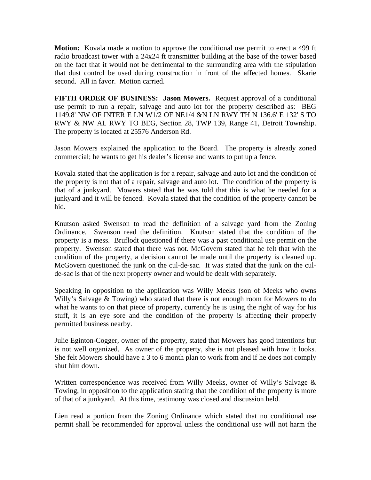**Motion:** Kovala made a motion to approve the conditional use permit to erect a 499 ft radio broadcast tower with a 24x24 ft transmitter building at the base of the tower based on the fact that it would not be detrimental to the surrounding area with the stipulation that dust control be used during construction in front of the affected homes. Skarie second. All in favor. Motion carried.

**FIFTH ORDER OF BUSINESS: Jason Mowers.** Request approval of a conditional use permit to run a repair, salvage and auto lot for the property described as: BEG 1149.8' NW OF INTER E LN W1/2 OF NE1/4 &N LN RWY TH N 136.6' E 132' S TO RWY & NW AL RWY TO BEG, Section 28, TWP 139, Range 41, Detroit Township. The property is located at 25576 Anderson Rd.

Jason Mowers explained the application to the Board. The property is already zoned commercial; he wants to get his dealer's license and wants to put up a fence.

Kovala stated that the application is for a repair, salvage and auto lot and the condition of the property is not that of a repair, salvage and auto lot. The condition of the property is that of a junkyard. Mowers stated that he was told that this is what he needed for a junkyard and it will be fenced. Kovala stated that the condition of the property cannot be hid.

Knutson asked Swenson to read the definition of a salvage yard from the Zoning Ordinance. Swenson read the definition. Knutson stated that the condition of the property is a mess. Bruflodt questioned if there was a past conditional use permit on the property. Swenson stated that there was not. McGovern stated that he felt that with the condition of the property, a decision cannot be made until the property is cleaned up. McGovern questioned the junk on the cul-de-sac. It was stated that the junk on the culde-sac is that of the next property owner and would be dealt with separately.

Speaking in opposition to the application was Willy Meeks (son of Meeks who owns Willy's Salvage & Towing) who stated that there is not enough room for Mowers to do what he wants to on that piece of property, currently he is using the right of way for his stuff, it is an eye sore and the condition of the property is affecting their properly permitted business nearby.

Julie Eginton-Cogger, owner of the property, stated that Mowers has good intentions but is not well organized. As owner of the property, she is not pleased with how it looks. She felt Mowers should have a 3 to 6 month plan to work from and if he does not comply shut him down.

Written correspondence was received from Willy Meeks, owner of Willy's Salvage & Towing, in opposition to the application stating that the condition of the property is more of that of a junkyard. At this time, testimony was closed and discussion held.

Lien read a portion from the Zoning Ordinance which stated that no conditional use permit shall be recommended for approval unless the conditional use will not harm the